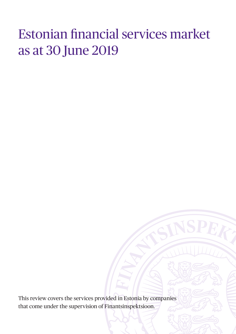# Estonian financial services market as at 30 June 2019

This review covers the services provided in Estonia by companies that come under the supervision of Finantsinspektsioon.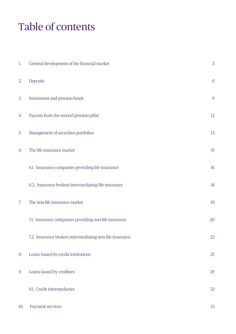## Table of contents

| 1.  | General development of the financial market              | 3  |
|-----|----------------------------------------------------------|----|
| 2.  | Deposits                                                 | 6  |
| 3.  | Investment and pension funds                             | 9  |
| 4.  | Payouts from the second pension pillar                   | 12 |
| 5.  | Management of securities portfolios                      | 13 |
| 6.  | The life insurance market                                | 15 |
|     | 6.1. Insurance companies providing life insurance        | 16 |
|     | 6.2. Insurance brokers intermediating life insurance     | 18 |
| 7.  | The non-life insurance market                            | 19 |
|     | 7.1. Insurance companies providing non-life insurance    | 20 |
|     | 7.2. Insurance brokers intermediating non-life insurance | 22 |
| 8.  | Loans issued by credit institutions                      | 25 |
| 9.  | Loans issued by creditors                                | 29 |
|     | 9.1. Credit intermediaries                               | 32 |
| 10. | Payment services                                         | 33 |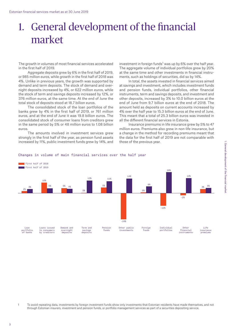### 1. General development of the financial market

The growth in volumes of most financial services accelerated in the first half of 2019.

Aggregate deposits grew by 6% in the first half of 2019, or 985 million euros, while growth in the first half of 2018 was 4%. Unlike in previous years, the growth was supported by demand and term deposits. The stock of demand and overnight deposits increased by 4%, or 622 million euros, while the stock of term and savings deposits increased by 12%, or 376 million euros, at the same time. At the end of June the total stock of deposits stood at 18.7 billion euros.

The consolidated stock of the loan portfolios of the banks grew by 4% in the first half of 2019, or 761 million euros, and at the end of June it was 19.8 billion euros. The consolidated stock of consumer loans from creditors grew in the same period by 5% or 48 million euros to 1.08 billion euros.

The amounts involved in investment services grew strongly in the first half of the year, as pension fund assets increased by 11%, public investment funds grew by 14%, and

investment in foreign funds<sup>1</sup> was up by 6% over the half year. The aggregate volume of individual portfolios grew by 20% at the same time and other investments in financial instruments, such as holdings of securities, did so by 14%.

In total, the assets invested in financial services aimed at savings and investment, which includes investment funds and pension funds, individual portfolios, other financial instruments, term and savings deposits, and investment and other deposits, increased by 3% to 10.0 billion euros at the end of June from 9.7 billion euros at the end of 2018. The amount held as deposits on current accounts increased by 4% over the half year to 15.3 billion euros at the end of June. This meant that a total of 25.3 billion euros was invested in all the different financial services in Estonia.

Insurance premiums in life insurance grew by 5% to 47 million euros. Premiums also grew in non-life insurance, but a change in the method for recording premiums meant that the data for the first half of 2019 are not comparable with those of the previous year.



#### Changes in volume of main financial services over the half year

1 To avoid repeating data, investments by foreign investment funds show only investments that Estonian residents have made themselves, and not through Estonian insurers, investment and pension funds, or portfolio management services as part of a securities depositing service.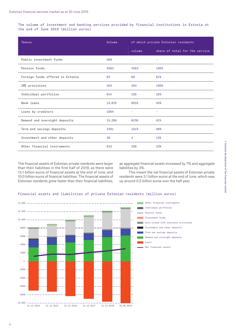The volume of investment and banking services provided by financial institutions in Estonia at the end of June 2019 (million euros)

| <b>Teenus</b>                    | Volume | of which private Estonian residents |                                |
|----------------------------------|--------|-------------------------------------|--------------------------------|
|                                  |        | volume                              | share of total for the service |
| Public investment funds          | 468    | ٠                                   | $\sim$                         |
| Pension funds                    | 4563   | 4563                                | 100%                           |
| Foreign funds offered in Estonia | 83     | 68                                  | 81%                            |
| IRE provisions                   | 264    | 264                                 | 100%                           |
| Individual portfolios            | 614    | 100                                 | 16%                            |
| Bank loans                       | 19,835 | 8910                                | 45%                            |
| Loans by creditors               | 1084   | ÷                                   | $\sim$                         |
| Demand and overnight deposits    | 15,286 | 6236                                | 41%                            |
| Term and savings deposits        | 3391   | 1619                                | 48%                            |
| Investment and other deposits    | 28     | 4                                   | 14%                            |
| Other financial instruments      | 633    | 208                                 | 33%                            |

The financial assets of Estonian private residents were larger than their liabilities in the first half of 2019, as there were 13.1 billion euros of financial assets at the end of June, and 10.0 billion euros of financial liabilities. The financial assets of Estonian residents grew faster than their financial liabilities,

as aggregate financial assets increased by 7% and aggregate liabilities by 3%.

This meant the net financial assets of Estonian private residents were 3.1 billion euros at the end of June, which was up around 0.5 billion euros over the half year.



#### Financial assets and liabilities of private Estonian residents (million euros)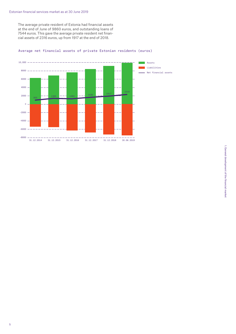The average private resident of Estonia had financial assets at the end of June of 9860 euros, and outstanding loans of 7544 euros. This gave the average private resident net financial assets of 2316 euros, up from 1917 at the end of 2018.



#### Average net financial assets of private Estonian residents (euros)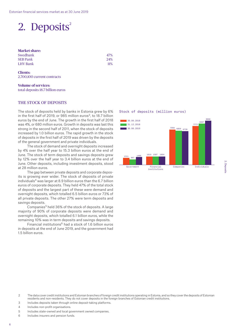### 2. Deposits<sup>2</sup>

#### **Market share:**  Swedbank 47% SEB Pank 24% LHV Bank 11%

**Clients:**  2,700,100 current contracts

**Volume of services:**  total deposits 18.7 billion euros

#### THE STOCK OF DEPOSITS

The stock of deposits held by banks in Estonia grew by 6% in the first half of 2019, or 985 million euros $3$ , to 18.7 billion euros by the end of June. The growth in the first half of 2018 was 4%, or 680 million euros. Growth in deposits was last this strong in the second half of 2011, when the stock of deposits increased by 1.0 billion euros. The rapid growth in the stock of deposits in the first half of 2019 was driven by the deposits of the general government and private individuals.

The stock of demand and overnight deposits increased by 4% over the half year to 15.3 billion euros at the end of June. The stock of term deposits and savings deposits grew by 12% over the half year to 3.4 billion euros at the end of June. Other deposits, including investment deposits, stood at 28 million euros.

The gap between private deposits and corporate deposits is growing ever wider. The stock of deposits of private individuals<sup>4</sup> was larger at 8.9 billion euros than the 6.7 billion euros of corporate deposits. They held 47% of the total stock of deposits and the largest part of these were demand and overnight deposits, which totalled 6.5 billion euros or 73% of all private deposits. The other 27% were term deposits and savings deposits.

Companies<sup>5</sup> held 36% of the stock of deposits. A large majority of 90% of corporate deposits were demand and overnight deposits, which totalled 6.1 billion euros, while the remaining 10% was in term deposits and savings deposits.

Financial institutions<sup>6</sup> had a stock of 1.6 billion euros in deposits at the end of June 2019, and the government had 1.5 billion euros.

#### Stock of deposits (million euros)



- 2 The data cover credit institutions and Estonian branches of foreign credit institutions operating in Estonia, and so they cover the deposits of Estonian residents and non-residents. They do not cover deposits in the foreign branches of Estonian credit institutions.
- 3 Includes deposits taken through online deposit-taking platforms.
- 4 Includes non-profit organisations.
- 5 Includes state-owned and local government owned companies.
- 6 Includes insurers and pension funds.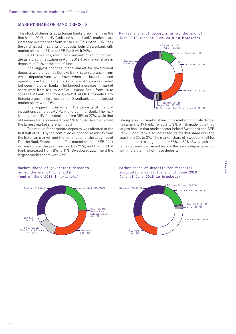#### Market share of bank deposits

The stock of deposits at Estonian banks grew mainly in the first half of 2019 at LHV Pank, and so that bank's market share increased over the year from 9% to 11%. This made LHV Pank the third largest in Estonia for deposits, behind Swedbank with market share of 47% and SEB Pank with 24%.

AS Holm Bank, which received authorisation to operate as a credit institution in April 2019, had market share in deposits of 0.1% at the end of June.

The biggest changes in the market for government deposits were driven by Danske Bank Estonia branch, from which deposits were withdrawn when the branch ceased operations in Estonia. Its market share of 10% was divided between the other banks. The biggest increases in market share were from 18% to 22% at Luminor Bank, from 1% to 5% at LHV Pank, and from 9% to 12% at OP Corporate Bank Estonia branch. Like a year earlier, Swedbank had the largest market share with 31%.

The biggest movements in the deposits of financial institutions came at LHV Pank and Luminor Bank. The market share of LHV Pank declined from 35% to 27%, while that of Luminor Bank increased from 9% to 16%. Swedbank held the largest market share with 33%.

The market for corporate deposits was affected in the first half of 2019 by the continued exit of non-residents from the Estonian market, and the termination of the activities of Danske Bank Estonia branch. The market share of SEB Pank increased over the year from 22% to 25%, and that of LHV Pank increased from 8% to 11%. Swedbank again held the largest market share with 47%.





Market share of deposits as at the end of June 2019 (end of June 2018 in brackets)



Strong growth in market share in the market for private deposits came at LHV Pank, from 5% to 9%, which made it the third largest bank in that market sector behind Swedbank and SEB Pank. Coop Pank also increased its market share over the year from 2% to 3%. The market share of Swedbank fell for the first time in a long time from 55% to 52%. Swedbank still remains clearly the largest bank in the private deposits sector, with more than half of those deposits.

Market share of deposits for financial institutions as at the end of June 2019 (end of June 2018 in brackets)

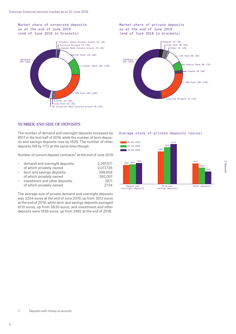Market share of corporate deposits as at the end of June 2019 (end of June 2018 in brackets)





Market share of private deposits

Tallinna Äripank 1% (1%)

#### Number and size of deposits

The number of demand and overnight deposits increased by 8917 in the first half of 2019, while the number of term deposits and savings deposits rose by 1629. The number of other deposits fell by 1172 at the same time though.

Number of current deposit contracts<sup>7</sup> at the end of June 2019

| $\bullet$ | demand and overnight deposits, | 2,297,571 |
|-----------|--------------------------------|-----------|
|           | of which privately owned       | 2,017,726 |
| $\bullet$ | term and savings deposits,     | 398,658   |
|           | of which privately owned       | 392,001   |
| $\bullet$ | investment and other deposits, | 3871      |
|           | of which privately owned       | 2734      |

The average size of private demand and overnight deposits was 3204 euros at the end of June 2019, up from 3012 euros at the end of 2018, while term and savings deposits averaged 6110 euros, up from 5630 euros, and investment and other deposits were 1938 euros, up from 2492 at the end of 2018.

Average stock of private deposits (euros)

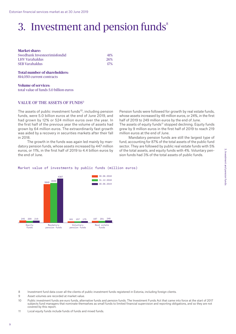### 3. Investment and pension funds $s$

**Market share:**  Swedbank Investeerimisfondid 41% LHV Varahaldus 26% SEB Varahaldus 17%

**Total number of shareholders:**  814,050 current contracts

**Volume of services:**  total value of funds 5.0 billion euros

#### VALUE OF THE ASSETS OF FUNDS<sup>9</sup>

The assets of public investment funds<sup>10</sup>, including pension funds, were 5.0 billion euros at the end of June 2019, and had grown by 12% or 524 million euros over the year. In the first half of the previous year the volume of assets had grown by 64 million euros. The extraordinarily fast growth was aided by a recovery in securities markets after their fall in 2018.

The growth in the funds was again led mainly by mandatory pension funds, whose assets increased by 447 million euros, or 11%, in the first half of 2019 to 4.4 billion euros by the end of June.

Pension funds were followed for growth by real estate funds, whose assets increased by 48 million euros, or 24%, in the first half of 2019 to 249 million euros by the end of June.

The assets of equity funds<sup>11</sup> stopped declining. Equity funds grew by 9 million euros in the first half of 2019 to reach 219 million euros at the end of June.

Mandatory pension funds are still the largest type of fund, accounting for 87% of the total assets of the public fund sector. They are followed by public real estate funds with 5% of the total assets, and equity funds with 4%. Voluntary pension funds had 3% of the total assets of public funds.



#### Market value of investments by public funds (million euros)

8 Investment fund data cover all the clients of public investment funds registered in Estonia, including foreign clients.

- 9 Asset volumes are recorded at market value.
- 10 Public investment funds are euro funds, alternative funds and pension funds. The Investment Funds Act that came into force at the start of 2017 subjects fund managers that nominate themselves as small funds to limited financial supervision and reporting obligations, and so they are not covered by this report.
- 11 Local equity funds include funds of funds and mixed funds.

9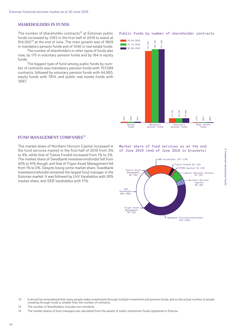#### Shareholders in funds

The number of shareholder contracts<sup>12</sup> at Estonian public funds increased by 3183 in the first half of 2019 to stand at 814,050<sup>13</sup> at the end of June. The main growth was of 1809 in mandatory pension funds and of 1040 in real estate funds.

The number of shareholders in other types of funds also rose, by 170 in voluntary pension funds and by 164 in equity funds.

The biggest type of fund among public funds by number of contracts was mandatory pension funds with 757,589 contracts, followed by voluntary pension funds with 44,960, equity funds with 7814, and public real estate funds with 3687.

#### Public funds by number of shareholder contracts



#### FUND MANAGEMENT COMPANIES<sup>14</sup>

The market share of Northern Horizon Capital increased in the fund services market in the first half of 2019 from 3% to 4%, while that of Tuleva Fondid increased from 1% to 2%. The market share of Swedbank Investeerimisfondid fell from 42% to 41% though, and that of Trigon Asset Management fell from 1% to 0%. Despite losing some market share, Swedbank Investeerimisfondid remained the largest fund manager in the Estonian market. It was followed by LHV Varahaldus with 26% market share, and SEB Varahaldus with 17%.

#### Market share of fund services as at the end of June 2019 (end of June 2018 in brackets)



- 12 It should be remembered that many people make investments through multiple investment and pension funds, and so the actual number of people investing through funds is smaller than the number of contracts.
- 13 The number of shareholders includes non-residents.
- 14 The market shares of fund managers are calculated from the assets of public investment funds registered in Estonia.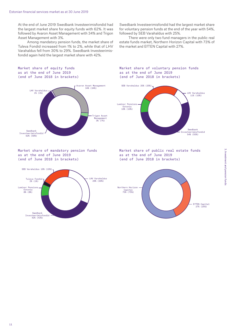At the end of June 2019 Swedbank Investeerimisfondid had the largest market share for equity funds with 62%. It was followed by Avaron Asset Management with 34% and Trigon Asset Management with 3%.

Among mandatory pension funds, the market share of Tuleva Fondid increased from 1% to 2%, while that of LHV Varahaldus fell from 30% to 29%. Swedbank Investeerimisfondid again held the largest market share with 42%.

#### Market share of equity funds as at the end of June 2019 (end of June 2018 in brackets)



Market share of mandatory pension funds as at the end of June 2019 (end of June 2018 in brackets)



Swedbank Investeerimisfondid had the largest market share for voluntary pension funds at the end of the year with 54%, followed by SEB Varahaldus with 25%.

There were only two fund managers in the public real estate funds market, Northern Horizon Capital with 73% of the market and EfTEN Capital with 27%.



Market share of voluntary pension funds

as at the end of June 2019

Market share of public real estate funds as at the end of June 2019 (end of June 2018 in brackets)

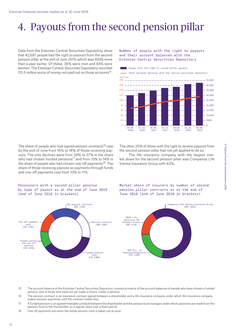### 4. Payouts from the second pension pillar

Data from the Estonian Central Securities Depository show that 42,687 people had the right to payouts from the second pension pillar at the end of June 2019, which was 4006 more than a year earlier. Of these, 36% were men and 64% were women. The Estonian Central Securities Depository recorded 115.5 million euros of money not paid out on those accounts<sup>15</sup>.

#### Number of people with the right to payouts and their account balances with the Estonian Central Securities Depository



The share of people who had signed pension contracts<sup>16</sup> rose by the end of June from 16% to 18% of those receiving payouts. The only declines were from 38% to 37% in the share who had chosen funded pensions<sup>17</sup> and from 15% to 14% in the share of people who had chosen one-off payments<sup>18</sup>. The share of those receiving payouts as payments through funds and one-off payments rose from 10% to 11%.

#### The other 20% of those with the right to receive payouts from the second pension pillar had not yet applied to do so.

The life insurance company with the largest market share for the second pension pillar was Compensa Life Vienna Insurance Group with 63%.

#### Pensioners with a second pillar pension by type of payout as at the end of June 2019 (end of June 2018 in brackets)



Market share of insurers by number of second pension pillar contracts as at the end of June 2019 (end of June 2018 in brackets)



15 The account balance at the Estonian Central Securities Depository consists primarily of the account balances of people who have chosen a funded pension, and of those who have not yet made a choice. Under a pension

16 The pension contract is an insurance contract signed between a shareholder and a life insurance company under which the insurance company makes pension payments until the contract holder dies.

- 17 A funded pension is an agreed timetable schedule between the shareholder and the pension fund manager under which payments are made from the pension fund to the shareholder on a regular basis over a fixed period.
- 18 One-off payments are when the whole pension fund is taken out at once.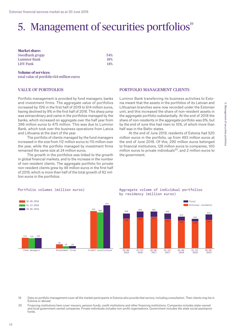### 5. Management of securities portfolios<sup>19</sup>

| <b>Market share:</b> |     |
|----------------------|-----|
| Swedbank grupp       | 54% |
| Luminor Bank         | 18% |
| <b>LHV</b> Pank      | 14% |

#### **Volume of services:**

total value of portfolio 614 million euros

#### Value of portfolios

Portfolio management is provided by fund managers, banks and investment firms. The aggregate value of portfolios increased by 15% in the first half of 2019 to 614 million euros, having declined by 9% in the first half of 2018. This sharp jump was extraordinary and came in the portfolios managed by the banks, which increased on aggregate over the half year from 396 million euros to 475 million. This was due to Luminor Bank, which took over the business operations from Latvia and Lithuania at the start of the year.

The portfolio of clients managed by the fund managers increased in the size from 112 million euros to 115 million over the year, while the portfolio managed by investment firms remained the same size at 24 million euros.

The growth in the portfolios was linked to the growth in global financial markets, and to the increase in the number of non-resident clients. The aggregate portfolio for private non-resident clients grew by 48 million euros in the first half of 2019, which is more than half of the total growth of 82 million euros in the portfolios.

Portfolio volumes (million euros)

#### Portfolio management clients

Luminor Bank transferring its business activities to Estonia meant that the assets in the portfolios of its Latvian and Lithuanian branches were now recorded under the Estonian unit, and this increased the share of non-resident assets in the aggregate portfolio substantially. At the end of 2018 the share of non-residents in the aggregate portfolio was 8%, but by the end of June this had risen to 15%, of which more than half was in the Baltic states.

At the end of June 2019, residents of Estonia had 520 million euros in the portfolio, up from 493 million euros at the end of June 2018. Of this, 290 million euros belonged to financial institutions, 128 million euros to companies, 100 million euros to private individuals<sup>20</sup>, and 2 million euros to the government.



#### Aggregate volume of individual portfolios by residency (million euros)



- 19 Data on portfolio management cover all the market participants in Estonia who provide that service, including consultation. Their clients may be in Estonia or abroad.
- 20 Financing institutions here cover insurers, pension funds, credit institutions and other financing institutions. Companies includes state-owned and local government owned companies. Private individuals includes non-profit organisations. Government includes the state social assistance funds.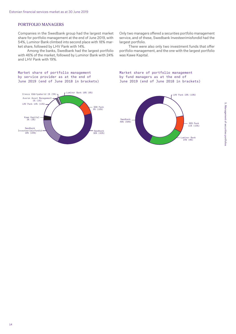#### Portfolio managers

Companies in the Swedbank group had the largest market share for portfolio management at the end of June 2019, with 54%, Luminor Bank climbed into second place with 18% market share, followed by LHV Pank with 14%.

Among the banks, Swedbank had the largest portfolio with 46% of the market, followed by Luminor Bank with 24% and LHV Pank with 19%.

#### Market share of portfolio management by service provider as at the end of June 2019 (end of June 2018 in brackets)



Only two managers offered a securities portfolio management service, and of these, Swedbank Investeerimisfondid had the largest portfolio.

There were also only two investment funds that offer portfolio management, and the one with the largest portfolio was Kawe Kapital. sme<br>Iio nortfolio r

#### Market share of portfolio management by fund managers as at the end of June 2019 (end of June 2018 in brackets)

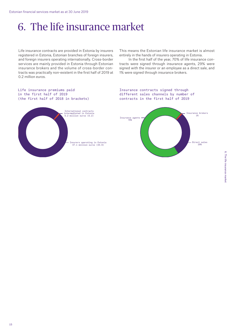### 6. The life insurance market

Life insurance contracts are provided in Estonia by insurers registered in Estonia, Estonian branches of foreign insurers, and foreign insurers operating internationally. Cross-border services are mainly provided in Estonia through Estonian insurance brokers and the volume of cross-border contracts was practically non-existent in the first half of 2019 at 0.2 million euros.

This means the Estonian life insurance market is almost entirely in the hands of insurers operating in Estonia.

In the first half of the year, 70% of life insurance contracts were signed through insurance agents, 29% were signed with the insurer or an employee as a direct sale, and 1% were signed through insurance brokers.

Insurance contracts signed through different sales channels by number of

#### Life insurance premiums paid in the first half of 2019 (the first half of 2018 in brackets)



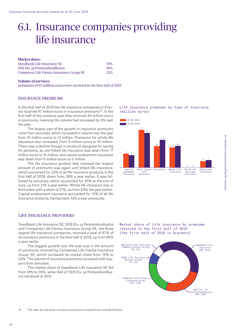### 6.1. Insurance companies providing life insurance

#### **Market share:**

| Swedbank Life Insurance SE              | 39%        |
|-----------------------------------------|------------|
| SEB Elu- ja Pensionikindlustus          | 26%        |
| Compensa Life Vienna Insurance Group SE | <b>22%</b> |

#### **Volume of services:**

premiums of 47 million euros were received in the first half of 2019

#### Insurance premiums

In the first half of 2019 the life insurance companies in Estonia received 47 million euros in insurance premiums<sup>21</sup>. In the first half of the previous year they received 45 million euros in premiums, meaning the volume had increased by 5% over the year.

The largest part of the growth in insurance premiums came from annuities, which increased in volume over the year from 10 million euros to 13 million. Premiums for whole life insurance also increased, from 9 million euros to 10 million. There was a decline though in products designed for saving for pensions, as unit linked life insurance was down from 17 million euros to 15 million, and capital endowment insurance was down from 6 million euros to 5 million.

The life insurance product that received the largest amount of premiums was again unit linked life insurance, which accounted for 33% of all life insurance products in the first half of 2019, down from 38% a year earlier. It was followed by annuities, which accounted for 26% at the end of June, up from 21% a year earlier. Whole life insurance was in third place with a share of 21%, up from 20% the year before. Capital endowment insurance accounted for 12% of all life insurance products, having been 13% a year previously.

#### Life insurance providers

Swedbank Life Insurance SE, SEB Elu- ja Pensionikindlustus and Compensa Life Vienna Insurance Group SE, the three largest life insurance companies, received a total of 87% of all insurance premiums in the first half of 2019, up from 86% a year earlier.

The biggest growth over the year was in the amount of premiums received by Compensa Life Vienna Insurance Group SE, which increased its market share from 19% to 22%. The volume of insurance premiums increased with support from annuities.

The market share of Swedbank Life Insurance SE fell from 41% to 39%, while that of SEB Elu- ja Pensionikindlustus remained at 26%.

Life insurance premiums by type of insurance (million euros)



Market share of life insurance by premiums received in the first half of 2019 (the first half of 2018 in brackets)

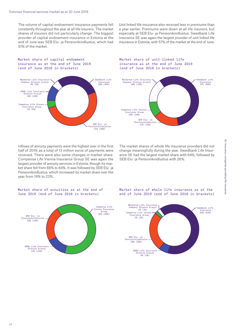The volume of capital endowment insurance payments fell constantly throughout the year at all life insurers. The market shares of insurers did not particularly change. The biggest provider of capital endowment insurance in Estonia at the end of June was SEB Elu- ja Pensionikindlustus, which had 51% of the market.





Unit linked life insurance also received less in premiums than a year earlier. Premiums were down at all life insurers, but especially at SEB Elu- ja Pensionikindlustus. Swedbank Life Insurance SE was again the largest provider of unit linked life insurance in Estonia, with 57% of the market at the end of June.

Market share of unit-linked life insurance as at the end of June 2019 (end of June 2018 in brackets)



Inflows of annuity payments were the highest ever in the first half of 2019, as a total of 13 million euros of payments were received. There were also some changes in market share. Compensa Life Vienna Insurance Group SE was again the largest provider of annuity services in Estonia, though its market share fell from 66% to 64%. It was followed by SEB Elu- ja Pensionikindlustus, which increased its market share over the year from 19% to 23%.

The market shares of whole life insurance providers did not change meaningfully during the year. Swedbank Life Insurance SE had the largest market share with 64%, followed by SEB Elu- ja Pensionikindlustus with 26%.

#### Market share of annuities as at the end of June 2019 (end of June 2018 in brackets)



Market share of whole life insurance as at the end of June 2019 (end of June 2018 in brackets)

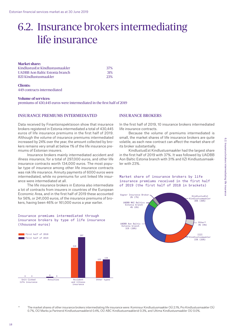## 6.2. Insurance brokers intermediating life insurance

#### **Market share:**

| KindlustusEst Kindlustusmaakler | <b>37%</b> |
|---------------------------------|------------|
| UADBB Aon Baltic Estonia branch | <b>31%</b> |
| <b>IIZI Kindlustusmaakler</b>   | 23%        |

#### **Clients:**

449 contracts intermediated

#### **Volume of services:**

premiums of 430,445 euros were intermediated in the first half of 2019

#### Insurance premiums intermediated

Data received by Finantsinspektsioon show that insurance brokers registered in Estonia intermediated a total of 430,445 euros of life insurance premiums in the first half of 2019. Although the volume of insurance premiums intermediated increased by 24% over the year, the amount collected by brokers remains very small at below 1% of the life insurance premiums of Estonian insurers.

Insurance brokers mainly intermediated accident and illness insurance, for a total of 297,000 euros, and other life insurance contracts worth 134,000 euros. The most popular type of insurance among other life insurance contracts was risk life insurance. Annuity payments of 6000 euros were intermediated, while no premiums for unit linked life insurance were intermediated at all.

The life insurance brokers in Estonia also intermediate a lot of contracts from insurers in countries of the European Economic Area, and in the first half of 2019 these accounted for 56%, or 241,000 euros, of the insurance premiums of brokers, having been 46% or 161,000 euros a year earlier.

#### Insurance premiums intermediated through insurance brokers by type of life insurance (thousand euros)



### Insurance brokers

In the first half of 2019, 10 insurance brokers intermediated life insurance contracts.

Because the volume of premiums intermediated is small, the market shares of life insurance brokers are quite volatile, as each new contract can affect the market share of its broker substantially.

KindlustusEst Kindlustusmaakler had the largest share in the first half of 2019 with 37%. It was followed by UADBB Aon Baltic Estonia branch with 31% and IIZI Kindlustusmaakler with 23%.

#### Market share of insurance brokers by life insurance premiums received in the first half of 2019 (the first half of 2018 in brackets)



\* The market shares of other insurance brokers intermediating life insurance were: Kominsur Kindlustusmaakler OÜ 2.1%, Pro Kindlustusmaakler OÜ 0.7%, OÜ Marks ja Partnerid Kindlustusmaaklerid 0.4%, OÜ ABC Kindlustusmaaklerid 0.3%, and Ultima Kindlustusmaakler OÜ 0.0%.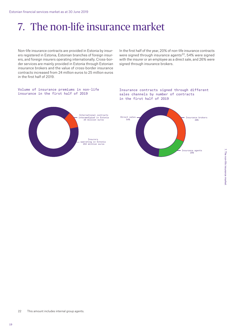## 7. The non-life insurance market

Non-life insurance contracts are provided in Estonia by insurers registered in Estonia, Estonian branches of foreign insurers, and foreign insurers operating internationally. Cross-border services are mainly provided in Estonia through Estonian insurance brokers and the value of cross-border insurance contracts increased from 24 million euros to 25 million euros in the first half of 2019.

In the first half of the year, 20% of non-life insurance contracts were signed through insurance agents<sup>22</sup>, 54% were signed with the insurer or an employee as a direct sale, and 26% were signed through insurance brokers.

#### Volume of insurance premiums in non-life insurance in the first half of 2019





Insurance agents 20% Insurance brokers  $268$ Direct sales 54%

22 This amount includes internal group agents.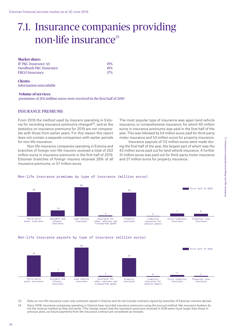### 7.1. Insurance companies providing non-life insurance<sup>23</sup>

| <b>Market share:</b>   |        |
|------------------------|--------|
| IF P&C Insurance AS    | 19%    |
| Swedbank P&C Insurance | 18%    |
| ERGO Insurance         | $17\%$ |

**Clients:** information unavailable

**Volume of services:**  premiums of 202 million euros were received in the first half of 2019

#### Insurance premiums

From 2018 the method used by insurers operating in Estonia for recording insurance premiums changed $24$ , and so the statistics on insurance premiums for 2019 are not comparable with those from earlier years. For this reason this report does not contain a separate comparison with earlier periods for non-life insurance.

Non-life insurance companies operating in Estonia and branches of foreign non-life insurers received a total of 202 million euros in insurance premiums in the first half of 2019. Estonian branches of foreign insurers received 28% of all insurance premiums, or 57 million euros.

The most popular type of insurance was again land vehicle insurance, or comprehensive insurance, for which 65 million euros in insurance premiums was paid in the first half of the year. This was followed by 54 million euros paid for third-party motor insurance and 53 million euros for property insurance.

Insurance payouts of 112 million euros were made during the first half of the year, the largest part of which was the 43 million euros paid out for land vehicle insurance. A further 31 million euros was paid out for third-party motor insurance and 27 million euros for property insurance.



#### Non-life insurance premiums by type of insurance (million euros)

#### Non-life insurance payouts by type of insurance (million euros)



23 Data on non-life insurance cover only contracts signed in Estonia and do not include contracts signed by branches of Estonian insurers abroad. 24 Since 2018, insurance companies operating in Estonia have recorded insurance premiums using the accrual method, like insurance brokers do, not the revenue method as they did earlier. This change meant that the insurance premiums received in 2018 were much larger than those in previous years, as future payments from the insurance contract are considered as receipts.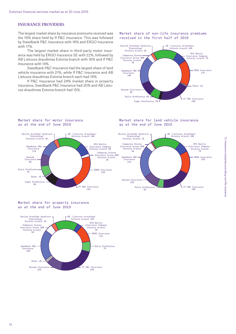#### Insurance providers

The largest market share by insurance premiums received was the 19% share held by If P&C Insurance. This was followed by Swedbank P&C Insurance with 18% and ERGO Insurance with 17%.

The largest market share in third-party motor insurance was held by ERGO Insurance SE with 22%, followed by AB Lietuvos draudimas Estonia branch with 16% and If P&C Insurance with 14%.

Swedbank P&C Insurance had the largest share of land vehicle insurance with 21%, while If P&C Insurance and AB Lietuvos draudimas Estonia branch each had 19%.

If P&C Insurance had 24% market share in property insurance, Swedbank P&C Insurance had 20% and AB Lietuvos draudimas Estonia branch had 15%.

#### Market share of non-life insurance premiums received in the first half of 2019



#### Market share for land vehicle insurance as at the end of June 2019



#### Market share for property insurance as at the end of June 2019

Market share for motor insurance as at the end of June 2019

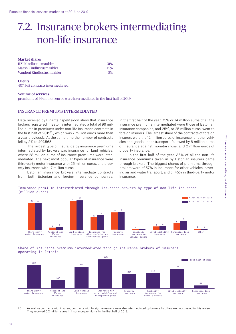### 7.2. Insurance brokers intermediating non-life insurance

| <b>Market share:</b>      |     |
|---------------------------|-----|
| IIZI Kindlustusmaakler    | 31% |
| Marsh Kindlustusmaakler   | 15% |
| Vandeni Kindlustusmaakler | 8%  |

#### **Clients:**

407,565 contracts intermediated

#### **Volume of services:**

premiums of 99 million euros were intermediated in the first half of 2019

#### Insurance premiums intermediated

Data received by Finantsinspektsioon show that insurance brokers registered in Estonia intermediated a total of 99 million euros in premiums under non-life insurance contracts in the first half of 2019<sup>25</sup>, which was 7 million euros more than a year previously. At the same time the number of contracts fell by 2% to 407,565.

The largest type of insurance by insurance premiums intermediated by brokers was insurance for land vehicles, where 28 million euros of insurance premiums were intermediated. The next most popular types of insurance were third-party motor insurance with 25 million euros, and property insurance with 17 million euros.

Estonian insurance brokers intermediate contracts from both Estonian and foreign insurance companies.

In the first half of the year, 75% or 74 million euros of all the insurance premiums intermediated were those of Estonian insurance companies, and 25%, or 25 million euros, went to foreign insurers. The largest share of the contracts of foreign insurers were the 12 million euros of insurance for other vehicles and goods under transport, followed by 8 million euros of insurance against monetary loss, and 2 million euros of property insurance.

In the first half of the year, 36% of all the non-life insurance premiums taken in by Estonian insurers came through brokers. The biggest shares of premiums through brokers were of 57% in insurance for other vehicles, covering air and water transport, and of 45% in third-party motor insurance.



#### Insurance premiums intermediated through insurance brokers by type of non-life insurance (million euros)

Share of insurance premiums intermediated through insurance brokers of insurers operating in Estonia



25 As well as contracts with insurers, contracts with foreign reinsurers were also intermediated by brokers, but they are not covered in this review. They received 0.2 million euros in insurance premiums in the first half of 2019.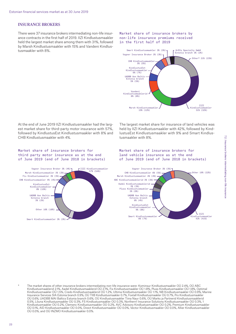#### Insurance brokers

There were 37 insurance brokers intermediating non-life insurance contracts in the first half of 2019. IIZI Kindlustusmaakler held the largest market share among them with 31%, followed by Marsh Kindlustusmaakler with 15% and Vandeni Kindlustusmaakler with 8%.

#### Market share of insurance brokers by non-life insurance premiums received in the first half of 2019



At the end of June 2019 IIZI Kindlustusmaakler had the largest market share for third-party motor insurance with 57%, followed by KindlustusEst Kindlustusmaakler with 8% and CHB Kindlustusmaakler with 4%.

held by IIZI Kindlustusmaakler with 42%, followed by KindlustusEst Kindlustusmaakler with 9% and Smart Kindlustusmaakler with 8%.

The largest market share for insurance of land vehicles was

### Market share of insurance brokers for third party motor insurance as at the end of June 2019 (end of June 2018 in brackets)



Market share of insurance brokers for land vehicle insurance as at the end of June 2019 (end of June 2018 in brackets)



Insurance Services SIA Estonia branch 0.9%, OÜ TIIB Kindlustusmaakler 0.7%, Foxtall Kindlustusmaakler OÜ 0.7%, Pro Kindlustusmaakler 22% (18%) 46% (45%) OÜ 0.6%, UADBB MAI Baltics Estonia branch 0.6%, OÜ Kindlustusmaakler Tiina Naur 0.6%, OÜ Marks ja Partnerid Kindlustusmaaklerid Kindlustusmaaklerid 2.1%, Aadel Kindlustusmaaklerid OÜ 2.1%, Fix Kindlustusmaakler OÜ 1.8%, Pluss Kindlustusmaakler OÜ 1.8%, Optimal maakler IIZI Kindlustusmaakler OÜ 1.5%, Credo Kindlustusmaaklerid OÜ 1.2%, Ultima Kindlustusmaakler OÜ 1.1%, NB Kindlustusmaakler OÜ 0.9%, Marine \* The market shares of other insurance brokers intermediating non-life insurance were: Kominsur Kindlustusmaakler OÜ 2.4%, OÜ ABC 0.5%, Lõuna Kindlustusmaakler OÜ 0.3%, FS Kindlustusmaakler OÜ 0.3%, Northern1 Insurance Solutions Kindlustusmaakler OÜ 0.3%, 1 Kindlustusmaakler OÜ 0.2%, Clemenc Kindlustusmaakler OÜ 0.2%, AVC Advisory Kindlustusmaakler OÜ 0.2%, Premium Kindlustusmaakler OÜ 0.1%, AID Kindlustusmaakler OÜ 0.0%, Direct Kindlustusmaakler OÜ 0.0%, Vector Kindlustusmaakler OÜ 0.0%, Allier Kindlustusmaakler OÜ 0.0%, and OÜ INZMO Kindlustusmaakler 0.0%.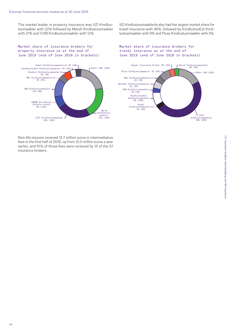with 21% and CHB Kindlustusmaakler with 12%. The market leader in property insurance was IIZI Kindlustusmaakler with 22% followed by Marsh Kindlustusmaakler travel insurance with 46%, followed by KindlustusEst Kindlustusmaakler with 9% and Pluss Kindlustusmaakler with 5%. IIZI Kindlustusmaaklerile also had the largest market share for

Market share of insurance brokers for property insurance as at the end of June 2019 (end of June 2018 in brackets)



Non-life insurers received 12.7 million euros in intermediation fees in the first half of 2019, up from 12.0 million euros a year earlier, and 91% of those fees were received by 15 of the 37 insurance brokers.

Market share of insurance brokers for travel insurance as at the end of June 2019 (end of June 2018 in brackets)

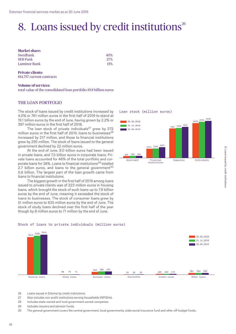### 8. Loans issued by credit institutions $26$

| <b>Market share:</b> |     |
|----------------------|-----|
| Swedbank             | 40% |
| <b>SEB Pank</b>      | 27% |
| Luminor Bank         | 15% |

**Private clients:**  814,757 current contracts

#### **Volume of services:**  total value of the consolidated loan portfolio 19.8 billion euros

#### THE LOAN PORTFOLIO

The stock of loans issued by credit institutions increased by 4.0% or 761 million euros in the first half of 2019 to stand at 19.1 billion euros by the end of June, having grown by 2.2% or 397 million euros in the first half of 2018.

The loan stock of private individuals<sup>27</sup> grew by 272 million euros in the first half of 2019, loans to businesses $^{28}$ increased by 217 million, and those to financial institutions grew by 295 million. The stock of loans issued to the general government declined by 22 million euros.

At the end of June, 9.0 billion euros had been issued in private loans, and 7.5 billion euros in corporate loans. Private loans accounted for 46% of the total portfolio and corporate loans for 38%. Loans to financial institutions<sup>29</sup> totalled 2.7 billion euros, and loans to the general government $30$ 0.6 billion. The largest part of the loan growth came from loans to financial institutions.

The biggest growth in the first half of 2019 among loans issued to private clients was of 223 million euros in housing loans, which brought the stock of such loans up to 7.8 billion euros by the end of June, meaning it exceeded the stock of loans to businesses. The stock of consumer loans grew by 51 million euros to 635 million euros by the end of June. The stock of study loans declined over the first half of the year though by 8 million euros to 71 million by the end of June.

#### Stock of loans to private individuals (million euros)



Loan stock (million euros)

Government Financial institutions

<sup>2314</sup> <sup>2392</sup> <sup>2687</sup>

<sup>7207</sup> <sup>7330</sup> <sup>7547</sup>

Companies Individuals

8764 9036

30.06.2018 31.12.2018 30.06.2019

504 588 566

26 Loans issued in Estonia by credit institutions.

- 27 Also includes non-profit institutions serving households (NPISHs).
- 28 Includes state-owned and local government owned companies.
- 29 Includes insurers and pension funds.

30 The general government covers the central government, local governments, state social insurance fund and other off-budget funds.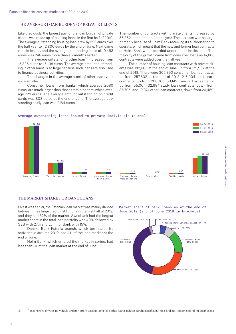#### The average loan burden of private clients

Like previously, the largest part of the loan burden of private clients was made up of housing loans in the first half of 2019. The average outstanding housing loan grew by 596 euros over the half year to 42,800 euros by the end of June. Next came vehicle leases, and the average outstanding lease of 10,463 euros was 246 euros more than six months earlier.

The average outstanding other loan<sup>31</sup> increased from 15,826 euros to 16,108 euros. The average amount outstanding in other loans is so large because such loans are also used to finance business activities.

The changes in the average stock of other loan types were smaller.

Consumer loans from banks, which average 2080 euros, are much larger than those from creditors, which average 723 euros. The average amount outstanding on credit cards was 803 euros at the end of June. The average outstanding study loan was 2164 euros.

The number of contracts with private clients increased by 56,352 in the first half of the year. The increase was so large primarily because of Holm Bank receiving its authorisation to operate, which meant that the new and former loan contracts of Holm Bank were recorded under credit institutions. The majority of the growth came from consumer loans as 47,888 contracts were added over the half year.

The number of housing loan contracts with private clients was 182,663 at the end of June, up from 179,967 at the end of 2018. There were 305,390 consumer loan contracts, up from 257,502 at the end of 2018; 216,004 credit card contracts, up from 208,768; 58,142 overdraft agreements, up from 55,004; 32,684 study loan contracts, down from 36,705; and 19,874 other loan contracts, down from 20,459.

#### Average outstanding loans issued to private individuals (euros)



#### THE MARKET SHARE FOR BANK LOANS

Like it was earlier, the Estonian loan market was mainly divided between three large credit institutions in the first half of 2019, and they had 82% of the market. Swedbank had the largest market share in the total loan portfolio with 40%, followed by SEB with 27% and Luminor Bank with 15%.

Danske Bank Estonia branch, which terminated its activities in autumn 2019, had 4% of the loan market at the end of June.

Holm Bank, which entered the market in spring, had less than 1% of the loan market at the end of June.

Market share of bank loans as at the end of June 2019 (end of June 2018 in brackets)

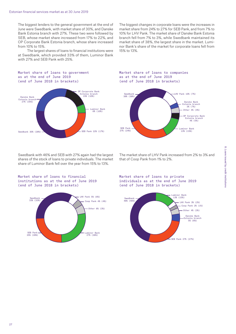The biggest lenders to the general government at the end of June were Swedbank, with market share of 30%, and Danske Bank Estonia branch with 27%. These two were followed by SEB, whose market share increased from 17% to 22%, and OP Corporate Bank Estonia branch, whose share increased from 10% to 15%.

The largest shares of loans to financial institutions were at Swedbank, which provided 33% of them, Luminor Bank with 27% and SEB Pank with 25%.

The biggest changes in corporate loans were the increases in market share from 24% to 27% for SEB Pank, and from 7% to 10% for LHV Pank. The market share of Danske Bank Estonia branch fell from 7% to 3%, while Swedbank maintained its market share of 38%, the largest share in the market. Luminor Bank's share of the market for corporate loans fell from 15% to 13%.



Swedbank with 46% and SEB with 27% again had the largest shares of the stock of loans to private individuals. The market share of Luminor Bank fell over the year from 15% to 13%.





Market share of loans to companies as at the end of June 2019 (end of June 2018 in brackets)



The market share of LHV Pank increased from 2% to 3% and that of Coop Pank from 1% to 2%.

Market share of loans to private individuals as at the end of June 2019 (end of June 2018 in brackets)

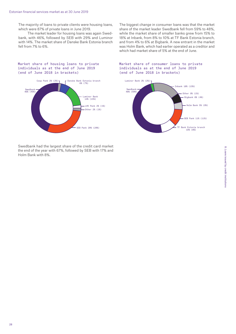The majority of loans to private clients were housing loans, which were 87% of private loans in June 2019.

The market leader for housing loans was again Swedbank, with 46%, followed by SEB with 29% and Luminor with 14%. The market share of Danske Bank Estonia branch fell from 7% to 6%.

Market share of housing loans to private individuals as at the end of June 2019 (end of June 2018 in brackets)



Swedbank had the largest share of the credit card market the end of the year with 67%, followed by SEB with 17% and Holm Bank with 8%.

The biggest change in consumer loans was that the market share of the market leader Swedbank fell from 59% to 48%, while the market share of smaller banks grew from 15% to 18% at Inbank, from 8% to 10% at TF Bank Estonia branch, and from 4% to 6% at Bigbank. A new entrant in the market was Holm Bank, which had earlier operated as a creditor and which had market share of 5% at the end of June.

#### Market share of consumer loans to private individuals as at the end of June 2019 (end of June 2018 in brackets)

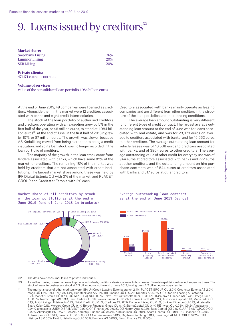### 9. Loans issued by creditors $32$

**Market share:**  Swedbank Liising 26% Luminor Liising 20% SEB Liising 20%

**Private clients:**  471,174 current contracts

**Volume of services:**  value of the consolidated loan portfolio 1.084 billion euros

At the end of June 2019, 49 companies were licensed as creditors. Alongside them in the market were 12 creditors associated with banks and eight credit intermediaries.

The stock of the loan portfolio of authorised creditors and creditors operating with an exception grew by 5% in the first half of the year, or 46 million euros, to stand at 1.084 billion euros<sup>33</sup> at the end of June; in the first half of 2018 it grew by 10%, or 87 million euros. The growth was slower because AS Koduliising moved from being a creditor to being a credit institution, and so its loan stock was no longer recorded in the loan portfolio of creditors.

The majority of the growth in the loan stock came from lenders associated with banks, which have some 82% of the market for creditors. The remaining 18% of the market was held by creditors that are not associated with credit institutions. The largest market share among these was held by IPF Digital Estonia OÜ with 3% of the market, and PLACET GROUP and Creditstar Estonia with 2% each.

Creditors associated with banks mainly operate as leasing companies and are different from other creditors in the structure of the loan portfolios and their lending conditions.

The average loan amount outstanding is very different for different types of credit contract. The largest average outstanding loan amount at the end of June was for loans associated with real estate, and was for 23,973 euros on average to creditors associated with banks, and for 16,663 euros to other creditors. The average outstanding loan amount for vehicle leases was of 10,538 euros to creditors associated with banks, and of 3864 euros to other creditors. The average outstanding value of other credit for everyday use was of 944 euros at creditors associated with banks and 772 euros at other creditors, and the outstanding amount on hire purchase contracts was of 844 euros at creditors associated with banks and 317 euros at other creditors.

#### Market share of all creditors by stock of the loan portfolio as at the end of June 2019 (end of June 2018 in brackets)



Average outstanding loan contract as at the end of June 2019 (euros)



32 The data cover consumer loans to private individuals.

- 33 As well as making consumer loans to private individuals, creditors also issue loans to businesses. Finantsinspektsioon does not supervise these. The stock of loans to businesses stood at 2.3 billion euros at the end of June 2019, having been 2.2 billion euros a year earlier.
- The market shares of other creditors were: SIA UniCredit Leasing Estonia branch 2.4%, PLACET GROUP OÜ 2.0%, Creditstar Estonia AS 2.0%, mogo OÜ 1.7%, Telia Eesti AS 1.4%, Hüpoteeklaen AS 1.1%, BB Finance OÜ 1.1%, AB Kreditex AS 0.8%, OÜ Citadele Leasing & Factoring 0.7%,Monefit Estonia OÜ 0.7%, OÜ AIRES LAENUD 0.5%, Tele2 Eesti Aktsiaselts 0.5%, ESTO AS 0.4%, Svea Finance AS 0.4%, Omega Laen AS 0.3%, Nordic Hypo AS 0.3%, BestCredit OÜ 0.3%, Rävala Laenud OÜ 0.2%, Express Credit AS 0.2%, AS Finora Capital 0.1%, Medicredit OÜ 0.1%, ALG Liisingu Aktsiaselts 0.1%, Ehital Krediit OÜ 0.1%, Credit.ee OÜ 0.1%, Baltasar Liising OÜ 0.1%, Stokker Finance OÜ 0.1%, aktsiaselts Saare Kalur 0.1%, Mercury Credit OÜ 0.1%, Berger Financial Group OÜ 0.1%, SigmaCapital OÜ 0.1%, RE Invest OÜ 0.05%, ON24 Aktsiaselts 0.04%, aktsiaselts UUEMÕISA INVEST 0.03%, OP Finance AS 0.03%, OÜ Nemm Auto 0.02%, Best Capital OÜ 0.02%, AARE AUTOPOOD OÜ 0.02%, Aktsiaselts ESTRAVEL 0.02%, Kemotex Finance OÜ 0.02%, Kinnistulaen OÜ 0.01%, Saare Finants OÜ 0.01%, PC Finance OÜ 0.01%, Autokiirpant OÜ 0.01%, Invest in OÜ 0.01%, OÜ AAkinnisvaralaen 0.01%, Digiteks Osaühing 0.01%, osaühing LAENUKESKUS 0.01%, TBB Liisingu AS 0.00%, Eesti Ühistuliising OÜ 0.00%, Bondora AS 0.00%, Blond Finance OÜ 0.00%.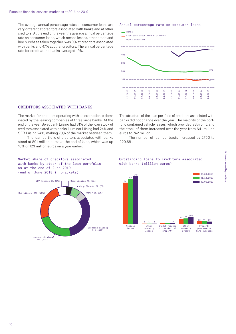The average annual percentage rates on consumer loans are very different at creditors associated with banks and at other creditors. At the end of the year the average annual percentage rate on consumer loans, which means leases, other credit and hire purchase taken together, was 9% at creditors associated with banks and 47% at other creditors. The annual percentage rate for credit at the banks averaged 19%.

#### Annual percentage rate on consumer loans

 $B$ anks



#### Creditors associated with banks

The market for creditors operating with an exemption is dominated by the leasing companies of three large banks. At the end of the year Swedbank Liising had 31% of the loan stock of creditors associated with banks, Luminor Liising had 24% and SEB Liising 24%, making 79% of the market between them.

The loan portfolio of creditors associated with banks stood at 891 million euros at the end of June, which was up 16% or 123 million euros on a year earlier.

Market share of creditors associated with banks by stock of the loan portfolio as at the end of June 2019 (end of June 2018 in brackets)



The structure of the loan portfolio of creditors associated with banks did not change over the year. The majority of the portfolio contained vehicle leases, which provided 83% of it, and the stock of them increased over the year from 641 million euros to 742 million.

The number of loan contracts increased by 2750 to 220,681.

#### Outstanding loans to creditors associated with banks (million euros)

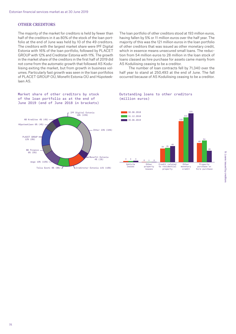#### **OTHER CREDITORS**

The majority of the market for creditors is held by fewer than half of the creditors in it as 80% of the stock of the loan portfolio at the end of June was held by 10 of the 49 creditors. The creditors with the largest market share were IPF Digital Estonia with 16% of the loan portfolio, followed by PLACET GROUP with 12% and Creditstar Estonia with 11%. The growth in the market share of the creditors in the first half of 2019 did not come from the automatic growth that followed AS Koduliising exiting the market, but from growth in business volumes. Particularly fast growth was seen in the loan portfolios of PLACET GROUP OÜ, Monefit Estonia OÜ and Hüpoteeklaen AS.

The loan portfolio of other creditors stood at 193 million euros, having fallen by 5% or 11 million euros over the half year. The majority of this was the 121 million euros in the loan portfolio of other creditors that was issued as other monetary credit, which in essence means unsecured small loans. The reduction from 54 million euros to 28 million in the loan stock of loans classed as hire purchase for assets came mainly from AS Koduliising ceasing to be a creditor.

The number of loan contracts fell by 71,340 over the half year to stand at 250,493 at the end of June. The fall occurred because of AS Koduliising ceasing to be a creditor.

#### Market share of other creditors by stock of the loan portfolio as at the end of June 2019 (end of June 2018 in brackets)



#### Outstanding loans to other creditors (million euros)

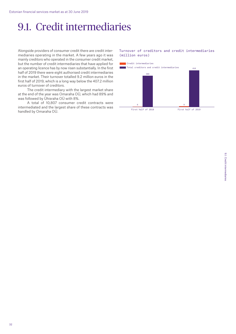### 9.1. Credit intermediaries

Alongside providers of consumer credit there are credit intermediaries operating in the market. A few years ago it was mainly creditors who operated in the consumer credit market, but the number of credit intermediaries that have applied for an operating licence has by now risen substantially. In the first half of 2019 there were eight authorised credit intermediaries in the market. Their turnover totalled 9.2 million euros in the first half of 2019, which is a long way below the 407.2 million euros of turnover of creditors.

The credit intermediary with the largest market share at the end of the year was Omaraha OÜ, which had 89% and was followed by Ühisraha OÜ with 8%.

A total of 10,807 consumer credit contracts were intermediated and the largest share of these contracts was handled by Omaraha OÜ.

#### Turnover of creditors and credit intermediaries (million euros)